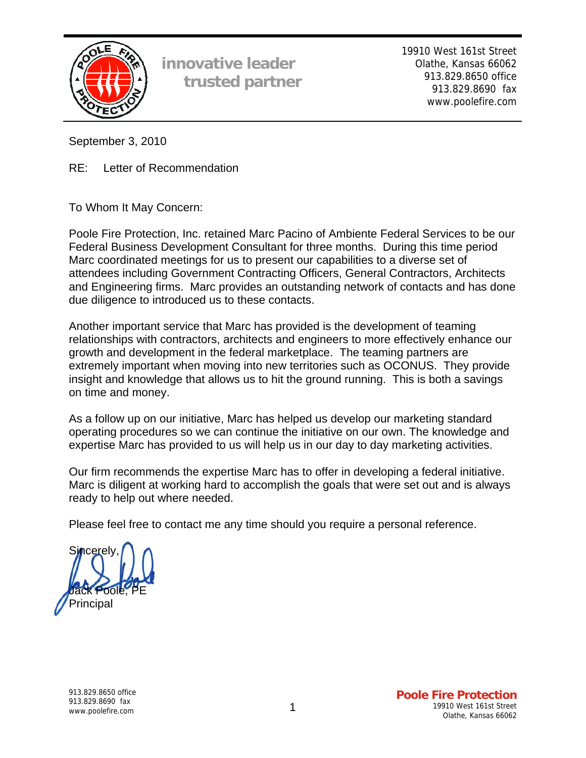

**innovative leader trusted partner** 19910 West 161st Street Olathe, Kansas 66062 913.829.8650 office 913.829.8690 fax www.poolefire.com

September 3, 2010

RE: Letter of Recommendation

To Whom It May Concern:

Poole Fire Protection, Inc. retained Marc Pacino of Ambiente Federal Services to be our Federal Business Development Consultant for three months. During this time period Marc coordinated meetings for us to present our capabilities to a diverse set of attendees including Government Contracting Officers, General Contractors, Architects and Engineering firms. Marc provides an outstanding network of contacts and has done due diligence to introduced us to these contacts.

Another important service that Marc has provided is the development of teaming relationships with contractors, architects and engineers to more effectively enhance our growth and development in the federal marketplace. The teaming partners are extremely important when moving into new territories such as OCONUS. They provide insight and knowledge that allows us to hit the ground running. This is both a savings on time and money.

As a follow up on our initiative, Marc has helped us develop our marketing standard operating procedures so we can continue the initiative on our own. The knowledge and expertise Marc has provided to us will help us in our day to day marketing activities.

Our firm recommends the expertise Marc has to offer in developing a federal initiative. Marc is diligent at working hard to accomplish the goals that were set out and is always ready to help out where needed.

Please feel free to contact me any time should you require a personal reference.

Sincerely Poole **Principal**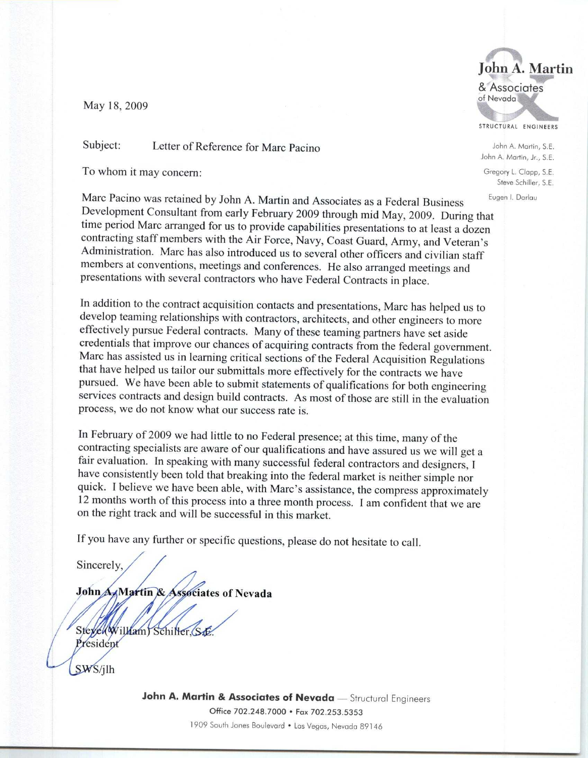May 18, 2009

Subject: Letter of Reference for Marc Pacino

To whom it may concern:

Marc Pacino was retained by John A. Martin and Associates as a Federal Business Development Consultant from early February 2009 through mid May, 2009. During that time period Marc arranged for us to provide capabilities presentations to at least a dozen contracting staff members with the Air Force, Navy, Coast Guard, Army, and Veteran's Administration. Marc has also introduced us to several other officers and civilian staff members at conventions, meetings and conferences. He also arranged meetings and presentations with several contractors who have Federal Contracts in place.

In addition to the contract acquisition contacts and presentations, Marc has helped us to develop teaming relationships with contractors, architects, and other engineers to more effectively pursue Federal contracts. Many of these teaming partners have set aside credentials that improve our chances of acquiring contracts from the federal government. Marc has assisted us in learning critical sections of the Federal Acquisition Regulations that have helped us tailor our submittals more effectively for the contracts we have pursued. We have been able to submit statements of qualifications for both engineering services contracts and design build contracts. As most of those are still in the evaluation process, we do not know what our success rate is.

In February of 2009 we had little to no Federal presence; at this time, many of the contracting specialists are aware of our qualifications and have assured us we will get a fair evaluation. In speaking with many successful federal contractors and designers, I have consistently been told that breaking into the federal market is neither simple nor quick. I believe we have been able, with Marc's assistance, the compress approximately 12 months worth of this process into a three month process. I am confident that we are on the right track and will be successful in this market.

If you have any further or specific questions, please do not hesitate to call.

Sincerely,

John A. Martin & Associates of Nevada

Steyel(William) Schiller, S.E. President

SWS/ilh

John A. Martin & Associates of Nevada - Structural Engineers Office 702.248.7000 · Fax 702.253.5353 1909 South Jones Boulevard . Las Vegas, Nevada 89146



STRUCTURAL ENGINEERS

John A. Martin, S.E. John A. Martin, Jr., S.E.

Gregory L. Clapp, S.E. Steve Schiller, S.E.

Eugen I. Darlau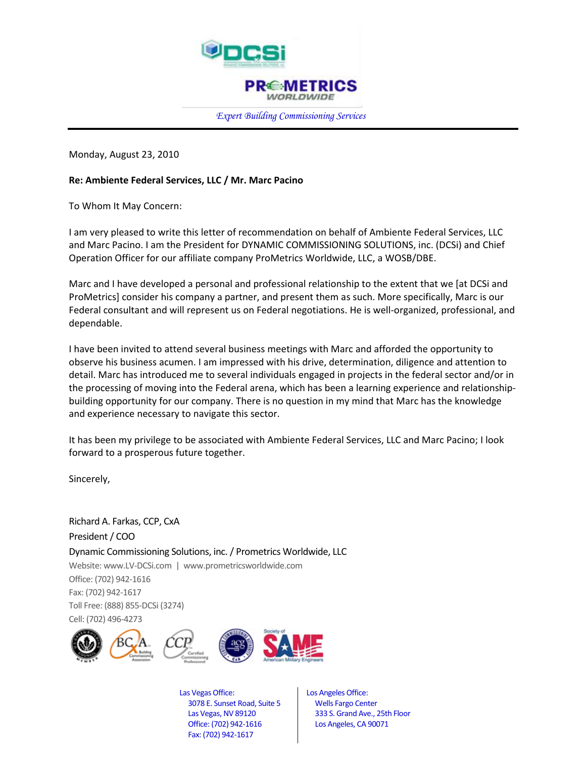

*Expert Building Commissioning Services*

Monday, August 23, 2010

 $\overline{a}$ 

## **Re: Ambiente Federal Services, LLC / Mr. Marc Pacino**

To Whom It May Concern:

I am very pleased to write this letter of recommendation on behalf of Ambiente Federal Services, LLC and Marc Pacino. I am the President for DYNAMIC COMMISSIONING SOLUTIONS, inc. (DCSi) and Chief Operation Officer for our affiliate company ProMetrics Worldwide, LLC, a WOSB/DBE.

Marc and I have developed a personal and professional relationship to the extent that we [at DCSi and ProMetrics] consider his company a partner, and present them as such. More specifically, Marc is our Federal consultant and will represent us on Federal negotiations. He is well-organized, professional, and dependable.

I have been invited to attend several business meetings with Marc and afforded the opportunity to observe his business acumen. I am impressed with his drive, determination, diligence and attention to detail. Marc has introduced me to several individuals engaged in projects in the federal sector and/or in the processing of moving into the Federal arena, which has been a learning experience and relationshipbuilding opportunity for our company. There is no question in my mind that Marc has the knowledge and experience necessary to navigate this sector.

It has been my privilege to be associated with Ambiente Federal Services, LLC and Marc Pacino; I look forward to a prosperous future together.

Sincerely,

Richard A. Farkas, CCP, CxA President / COO Dynamic Commissioning Solutions, inc. / Prometrics Worldwide, LLC Website[: www.LV-DCSi.com](http://www.lv-dcsi.com/) | www.prometricsworldwide.com Office: (702) 942-1616 Fax: (702) 942-1617 Toll Free: (888) 855-DCSi (3274) Cell: (702) 496-4273









Las Vegas Office: 3078 E. Sunset Road, Suite 5 Las Vegas, NV 89120 Office: (702) 942-1616 Fax: (702) 942-1617

 Los Angeles Office: Wells Fargo Center 333 S. Grand Ave., 25th Floor Los Angeles, CA 90071